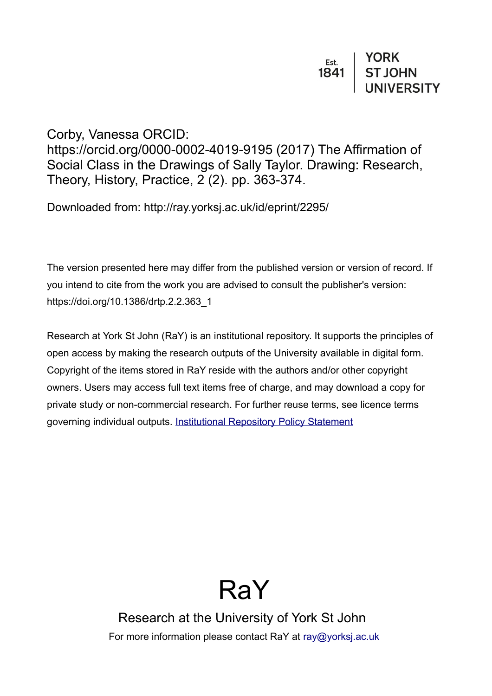# Corby, Vanessa ORCID:

https://orcid.org/0000-0002-4019-9195 (2017) The Affirmation of Social Class in the Drawings of Sally Taylor. Drawing: Research, Theory, History, Practice, 2 (2). pp. 363-374.

Downloaded from: http://ray.yorksj.ac.uk/id/eprint/2295/

The version presented here may differ from the published version or version of record. If you intend to cite from the work you are advised to consult the publisher's version: https://doi.org/10.1386/drtp.2.2.363\_1

Research at York St John (RaY) is an institutional repository. It supports the principles of open access by making the research outputs of the University available in digital form. Copyright of the items stored in RaY reside with the authors and/or other copyright owners. Users may access full text items free of charge, and may download a copy for private study or non-commercial research. For further reuse terms, see licence terms governing individual outputs. [Institutional Repository Policy Statement](https://www.yorksj.ac.uk/ils/repository-policies/)

# RaY

Research at the University of York St John For more information please contact RaY at [ray@yorksj.ac.uk](mailto:ray@yorksj.ac.uk)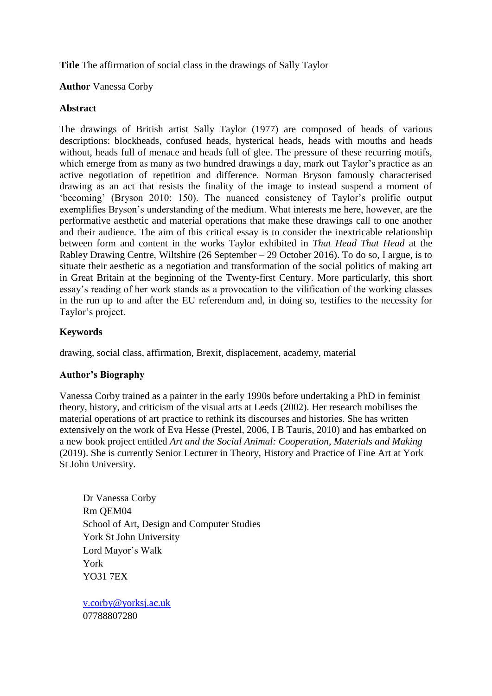**Title** The affirmation of social class in the drawings of Sally Taylor

### **Author** Vanessa Corby

## **Abstract**

The drawings of British artist Sally Taylor (1977) are composed of heads of various descriptions: blockheads, confused heads, hysterical heads, heads with mouths and heads without, heads full of menace and heads full of glee. The pressure of these recurring motifs, which emerge from as many as two hundred drawings a day, mark out Taylor's practice as an active negotiation of repetition and difference. Norman Bryson famously characterised drawing as an act that resists the finality of the image to instead suspend a moment of ‗becoming' (Bryson 2010: 150). The nuanced consistency of Taylor's prolific output exemplifies Bryson's understanding of the medium. What interests me here, however, are the performative aesthetic and material operations that make these drawings call to one another and their audience. The aim of this critical essay is to consider the inextricable relationship between form and content in the works Taylor exhibited in *That Head That Head* at the Rabley Drawing Centre, Wiltshire (26 September – 29 October 2016). To do so, I argue, is to situate their aesthetic as a negotiation and transformation of the social politics of making art in Great Britain at the beginning of the Twenty-first Century. More particularly, this short essay's reading of her work stands as a provocation to the vilification of the working classes in the run up to and after the EU referendum and, in doing so, testifies to the necessity for Taylor's project.

# **Keywords**

drawing, social class, affirmation, Brexit, displacement, academy, material

# **Author's Biography**

Vanessa Corby trained as a painter in the early 1990s before undertaking a PhD in feminist theory, history, and criticism of the visual arts at Leeds (2002). Her research mobilises the material operations of art practice to rethink its discourses and histories. She has written extensively on the work of Eva Hesse (Prestel, 2006, I B Tauris, 2010) and has embarked on a new book project entitled *Art and the Social Animal: Cooperation, Materials and Making* (2019). She is currently Senior Lecturer in Theory, History and Practice of Fine Art at York St John University.

Dr Vanessa Corby Rm QEM04 School of Art, Design and Computer Studies York St John University Lord Mayor's Walk York YO31 7EX

[v.corby@yorksj.ac.uk](mailto:v.corby@yorksj.ac.uk) 07788807280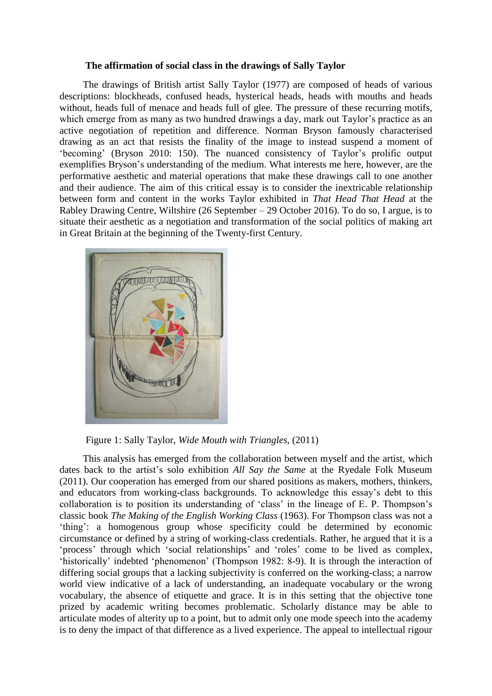#### **The affirmation of social class in the drawings of Sally Taylor**

The drawings of British artist Sally Taylor (1977) are composed of heads of various descriptions: blockheads, confused heads, hysterical heads, heads with mouths and heads without, heads full of menace and heads full of glee. The pressure of these recurring motifs, which emerge from as many as two hundred drawings a day, mark out Taylor's practice as an active negotiation of repetition and difference. Norman Bryson famously characterised drawing as an act that resists the finality of the image to instead suspend a moment of ‗becoming' (Bryson 2010: 150). The nuanced consistency of Taylor's prolific output exemplifies Bryson's understanding of the medium. What interests me here, however, are the performative aesthetic and material operations that make these drawings call to one another and their audience. The aim of this critical essay is to consider the inextricable relationship between form and content in the works Taylor exhibited in *That Head That Head* at the Rabley Drawing Centre, Wiltshire (26 September – 29 October 2016). To do so, I argue, is to situate their aesthetic as a negotiation and transformation of the social politics of making art in Great Britain at the beginning of the Twenty-first Century.



Figure 1: Sally Taylor, *Wide Mouth with Triangles*, (2011)

This analysis has emerged from the collaboration between myself and the artist, which dates back to the artist's solo exhibition *All Say the Same* at the Ryedale Folk Museum (2011). Our cooperation has emerged from our shared positions as makers, mothers, thinkers, and educators from working-class backgrounds. To acknowledge this essay's debt to this collaboration is to position its understanding of ‗class' in the lineage of E. P. Thompson's classic book *The Making of the English Working Class* (1963). For Thompson class was not a ‗thing': a homogenous group whose specificity could be determined by economic circumstance or defined by a string of working-class credentials. Rather, he argued that it is a ‗process' through which ‗social relationships' and ‗roles' come to be lived as complex, 'historically' indebted 'phenomenon' (Thompson 1982: 8-9). It is through the interaction of differing social groups that a lacking subjectivity is conferred on the working-class; a narrow world view indicative of a lack of understanding, an inadequate vocabulary or the wrong vocabulary, the absence of etiquette and grace. It is in this setting that the objective tone prized by academic writing becomes problematic. Scholarly distance may be able to articulate modes of alterity up to a point, but to admit only one mode speech into the academy is to deny the impact of that difference as a lived experience. The appeal to intellectual rigour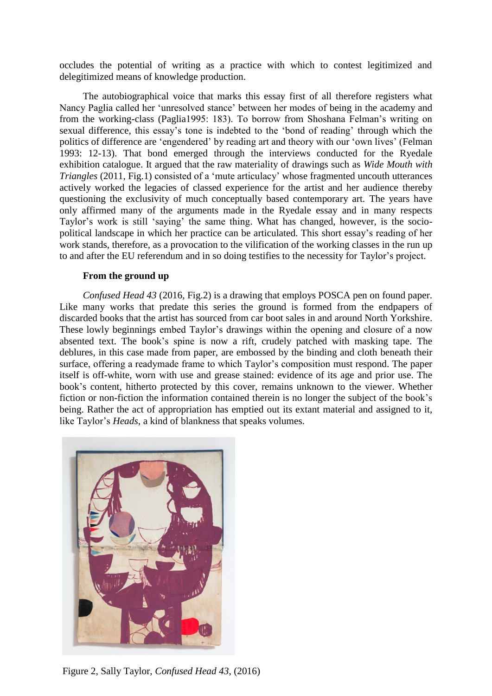occludes the potential of writing as a practice with which to contest legitimized and delegitimized means of knowledge production.

The autobiographical voice that marks this essay first of all therefore registers what Nancy Paglia called her ‗unresolved stance' between her modes of being in the academy and from the working-class (Paglia1995: 183). To borrow from Shoshana Felman's writing on sexual difference, this essay's tone is indebted to the 'bond of reading' through which the politics of difference are 'engendered' by reading art and theory with our 'own lives' (Felman 1993: 12-13). That bond emerged through the interviews conducted for the Ryedale exhibition catalogue. It argued that the raw materiality of drawings such as *Wide Mouth with Triangles* (2011, Fig.1) consisted of a 'mute articulacy' whose fragmented uncouth utterances actively worked the legacies of classed experience for the artist and her audience thereby questioning the exclusivity of much conceptually based contemporary art. The years have only affirmed many of the arguments made in the Ryedale essay and in many respects Taylor's work is still 'saying' the same thing. What has changed, however, is the sociopolitical landscape in which her practice can be articulated. This short essay's reading of her work stands, therefore, as a provocation to the vilification of the working classes in the run up to and after the EU referendum and in so doing testifies to the necessity for Taylor's project.

#### **From the ground up**

*Confused Head 43* (2016, Fig.2) is a drawing that employs POSCA pen on found paper. Like many works that predate this series the ground is formed from the endpapers of discarded books that the artist has sourced from car boot sales in and around North Yorkshire. These lowly beginnings embed Taylor's drawings within the opening and closure of a now absented text. The book's spine is now a rift, crudely patched with masking tape. The deblures, in this case made from paper, are embossed by the binding and cloth beneath their surface, offering a readymade frame to which Taylor's composition must respond. The paper itself is off-white, worn with use and grease stained: evidence of its age and prior use. The book's content, hitherto protected by this cover, remains unknown to the viewer. Whether fiction or non-fiction the information contained therein is no longer the subject of the book's being. Rather the act of appropriation has emptied out its extant material and assigned to it, like Taylor's *Heads*, a kind of blankness that speaks volumes.



Figure 2, Sally Taylor, *Confused Head 43*, (2016)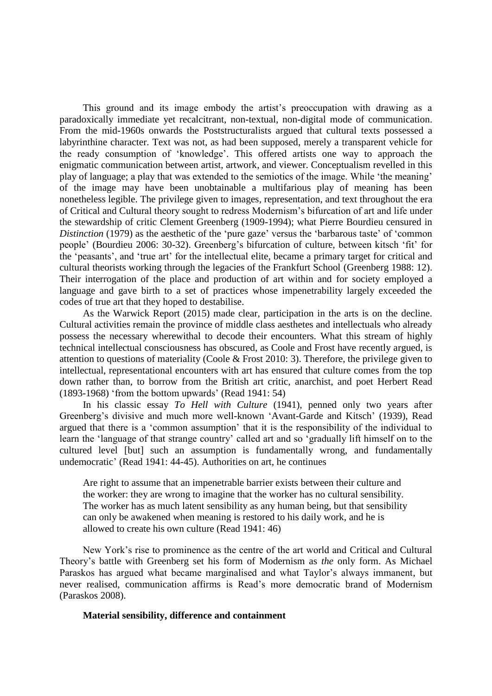This ground and its image embody the artist's preoccupation with drawing as a paradoxically immediate yet recalcitrant, non-textual, non-digital mode of communication. From the mid-1960s onwards the Poststructuralists argued that cultural texts possessed a labyrinthine character. Text was not, as had been supposed, merely a transparent vehicle for the ready consumption of ‗knowledge'. This offered artists one way to approach the enigmatic communication between artist, artwork, and viewer. Conceptualism revelled in this play of language; a play that was extended to the semiotics of the image. While ‗the meaning' of the image may have been unobtainable a multifarious play of meaning has been nonetheless legible. The privilege given to images, representation, and text throughout the era of Critical and Cultural theory sought to redress Modernism's bifurcation of art and life under the stewardship of critic Clement Greenberg (1909-1994); what Pierre Bourdieu censured in *Distinction* (1979) as the aesthetic of the 'pure gaze' versus the 'barbarous taste' of 'common people' (Bourdieu 2006: 30-32). Greenberg's bifurcation of culture, between kitsch ‗fit' for the 'peasants', and 'true art' for the intellectual elite, became a primary target for critical and cultural theorists working through the legacies of the Frankfurt School (Greenberg 1988: 12). Their interrogation of the place and production of art within and for society employed a language and gave birth to a set of practices whose impenetrability largely exceeded the codes of true art that they hoped to destabilise.

As the Warwick Report (2015) made clear, participation in the arts is on the decline. Cultural activities remain the province of middle class aesthetes and intellectuals who already possess the necessary wherewithal to decode their encounters. What this stream of highly technical intellectual consciousness has obscured, as Coole and Frost have recently argued, is attention to questions of materiality (Coole & Frost 2010: 3). Therefore, the privilege given to intellectual, representational encounters with art has ensured that culture comes from the top down rather than, to borrow from the British art critic, anarchist, and poet Herbert Read  $(1893-1968)$  'from the bottom upwards' (Read 1941: 54)

In his classic essay *To Hell with Culture* (1941), penned only two years after Greenberg's divisive and much more well-known ‗Avant-Garde and Kitsch' (1939), Read argued that there is a 'common assumption' that it is the responsibility of the individual to learn the 'language of that strange country' called art and so 'gradually lift himself on to the cultured level [but] such an assumption is fundamentally wrong, and fundamentally undemocratic' (Read 1941: 44-45). Authorities on art, he continues

Are right to assume that an impenetrable barrier exists between their culture and the worker: they are wrong to imagine that the worker has no cultural sensibility. The worker has as much latent sensibility as any human being, but that sensibility can only be awakened when meaning is restored to his daily work, and he is allowed to create his own culture (Read 1941: 46)

New York's rise to prominence as the centre of the art world and Critical and Cultural Theory's battle with Greenberg set his form of Modernism as *the* only form. As Michael Paraskos has argued what became marginalised and what Taylor's always immanent, but never realised, communication affirms is Read's more democratic brand of Modernism (Paraskos 2008).

#### **Material sensibility, difference and containment**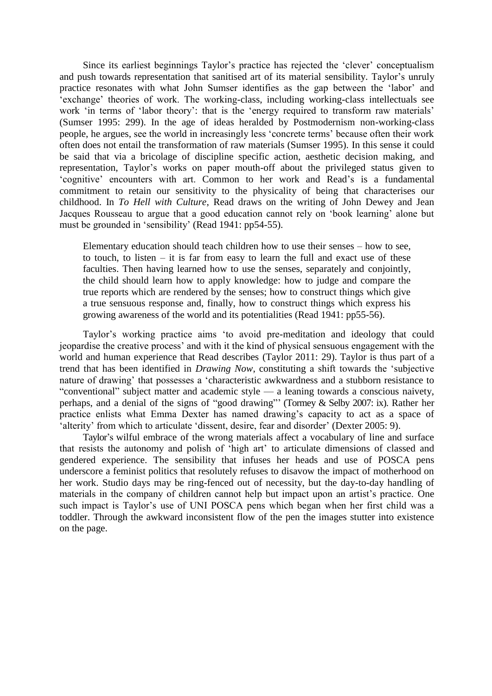Since its earliest beginnings Taylor's practice has rejected the 'clever' conceptualism and push towards representation that sanitised art of its material sensibility. Taylor's unruly practice resonates with what John Sumser identifies as the gap between the 'labor' and ‗exchange' theories of work. The working-class, including working-class intellectuals see work 'in terms of 'labor theory': that is the 'energy required to transform raw materials' (Sumser 1995: 299). In the age of ideas heralded by Postmodernism non-working-class people, he argues, see the world in increasingly less ‗concrete terms' because often their work often does not entail the transformation of raw materials (Sumser 1995). In this sense it could be said that via a bricolage of discipline specific action, aesthetic decision making, and representation, Taylor's works on paper mouth-off about the privileged status given to ‗cognitive' encounters with art. Common to her work and Read's is a fundamental commitment to retain our sensitivity to the physicality of being that characterises our childhood. In *To Hell with Culture*, Read draws on the writing of John Dewey and Jean Jacques Rousseau to argue that a good education cannot rely on 'book learning' alone but must be grounded in 'sensibility' (Read 1941: pp54-55).

Elementary education should teach children how to use their senses – how to see, to touch, to listen  $-$  it is far from easy to learn the full and exact use of these faculties. Then having learned how to use the senses, separately and conjointly, the child should learn how to apply knowledge: how to judge and compare the true reports which are rendered by the senses; how to construct things which give a true sensuous response and, finally, how to construct things which express his growing awareness of the world and its potentialities (Read 1941: pp55-56).

Taylor's working practice aims 'to avoid pre-meditation and ideology that could jeopardise the creative process' and with it the kind of physical sensuous engagement with the world and human experience that Read describes (Taylor 2011: 29). Taylor is thus part of a trend that has been identified in *Drawing Now*, constituting a shift towards the 'subjective nature of drawing' that possesses a 'characteristic awkwardness and a stubborn resistance to "conventional" subject matter and academic style — a leaning towards a conscious naivety, perhaps, and a denial of the signs of "good drawing"' (Tormey & Selby 2007: ix). Rather her practice enlists what Emma Dexter has named drawing's capacity to act as a space of 'alterity' from which to articulate 'dissent, desire, fear and disorder' (Dexter 2005: 9).

Taylor's wilful embrace of the wrong materials affect a vocabulary of line and surface that resists the autonomy and polish of ‗high art' to articulate dimensions of classed and gendered experience. The sensibility that infuses her heads and use of POSCA pens underscore a feminist politics that resolutely refuses to disavow the impact of motherhood on her work. Studio days may be ring-fenced out of necessity, but the day-to-day handling of materials in the company of children cannot help but impact upon an artist's practice. One such impact is Taylor's use of UNI POSCA pens which began when her first child was a toddler. Through the awkward inconsistent flow of the pen the images stutter into existence on the page.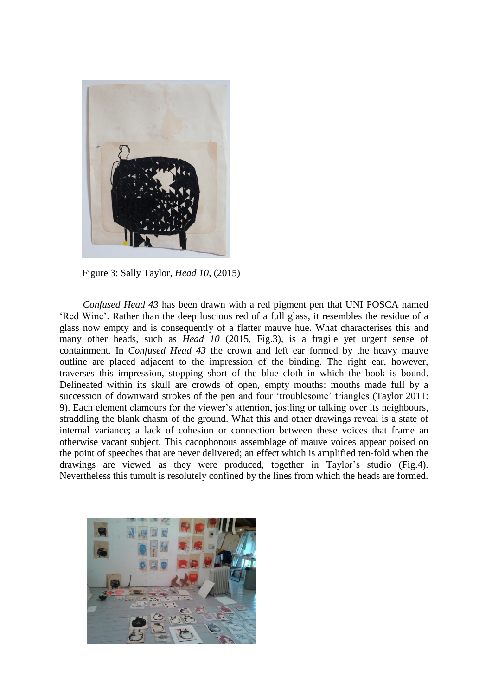

Figure 3: Sally Taylor*, Head 10*, (2015)

*Confused Head 43* has been drawn with a red pigment pen that UNI POSCA named ‗Red Wine'. Rather than the deep luscious red of a full glass, it resembles the residue of a glass now empty and is consequently of a flatter mauve hue. What characterises this and many other heads, such as *Head 10* (2015, Fig.3), is a fragile yet urgent sense of containment. In *Confused Head 43* the crown and left ear formed by the heavy mauve outline are placed adjacent to the impression of the binding. The right ear, however, traverses this impression, stopping short of the blue cloth in which the book is bound. Delineated within its skull are crowds of open, empty mouths: mouths made full by a succession of downward strokes of the pen and four 'troublesome' triangles (Taylor 2011: 9). Each element clamours for the viewer's attention, jostling or talking over its neighbours, straddling the blank chasm of the ground. What this and other drawings reveal is a state of internal variance; a lack of cohesion or connection between these voices that frame an otherwise vacant subject. This cacophonous assemblage of mauve voices appear poised on the point of speeches that are never delivered; an effect which is amplified ten-fold when the drawings are viewed as they were produced, together in Taylor's studio (Fig.4). Nevertheless this tumult is resolutely confined by the lines from which the heads are formed.

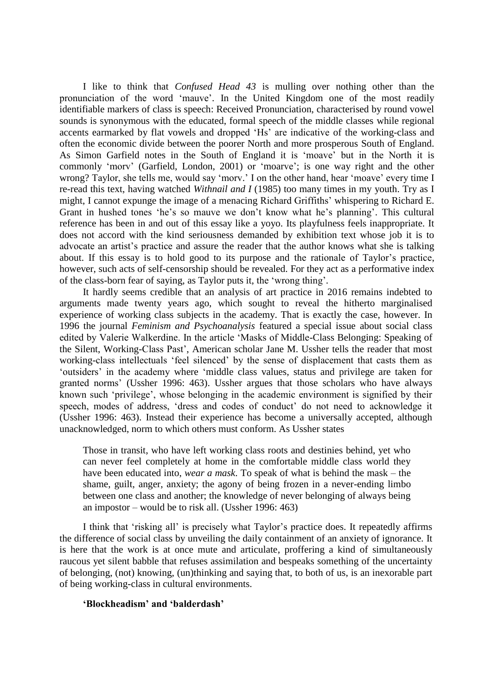I like to think that *Confused Head 43* is mulling over nothing other than the pronunciation of the word ‗mauve'. In the United Kingdom one of the most readily identifiable markers of class is speech: Received Pronunciation, characterised by round vowel sounds is synonymous with the educated, formal speech of the middle classes while regional accents earmarked by flat vowels and dropped 'Hs' are indicative of the working-class and often the economic divide between the poorer North and more prosperous South of England. As Simon Garfield notes in the South of England it is 'moave' but in the North it is commonly 'morv' (Garfield, London, 2001) or 'moarve'; is one way right and the other wrong? Taylor, she tells me, would say 'mory.' I on the other hand, hear 'moave' every time I re-read this text, having watched *Withnail and I* (1985) too many times in my youth. Try as I might, I cannot expunge the image of a menacing Richard Griffiths' whispering to Richard E. Grant in hushed tones 'he's so mauve we don't know what he's planning'. This cultural reference has been in and out of this essay like a yoyo. Its playfulness feels inappropriate. It does not accord with the kind seriousness demanded by exhibition text whose job it is to advocate an artist's practice and assure the reader that the author knows what she is talking about. If this essay is to hold good to its purpose and the rationale of Taylor's practice, however, such acts of self-censorship should be revealed. For they act as a performative index of the class-born fear of saying, as Taylor puts it, the ‗wrong thing'.

It hardly seems credible that an analysis of art practice in 2016 remains indebted to arguments made twenty years ago, which sought to reveal the hitherto marginalised experience of working class subjects in the academy. That is exactly the case, however. In 1996 the journal *Feminism and Psychoanalysis* featured a special issue about social class edited by Valerie Walkerdine. In the article 'Masks of Middle-Class Belonging: Speaking of the Silent, Working-Class Past', American scholar Jane M. Ussher tells the reader that most working-class intellectuals 'feel silenced' by the sense of displacement that casts them as ‗outsiders' in the academy where ‗middle class values, status and privilege are taken for granted norms' (Ussher 1996: 463). Ussher argues that those scholars who have always known such 'privilege', whose belonging in the academic environment is signified by their speech, modes of address, 'dress and codes of conduct' do not need to acknowledge it (Ussher 1996: 463). Instead their experience has become a universally accepted, although unacknowledged, norm to which others must conform. As Ussher states

Those in transit, who have left working class roots and destinies behind, yet who can never feel completely at home in the comfortable middle class world they have been educated into, *wear a mask*. To speak of what is behind the mask – the shame, guilt, anger, anxiety; the agony of being frozen in a never-ending limbo between one class and another; the knowledge of never belonging of always being an impostor – would be to risk all. (Ussher 1996: 463)

I think that ‗risking all' is precisely what Taylor's practice does. It repeatedly affirms the difference of social class by unveiling the daily containment of an anxiety of ignorance. It is here that the work is at once mute and articulate, proffering a kind of simultaneously raucous yet silent babble that refuses assimilation and bespeaks something of the uncertainty of belonging, (not) knowing, (un)thinking and saying that, to both of us, is an inexorable part of being working-class in cultural environments.

#### **'Blockheadism' and 'balderdash'**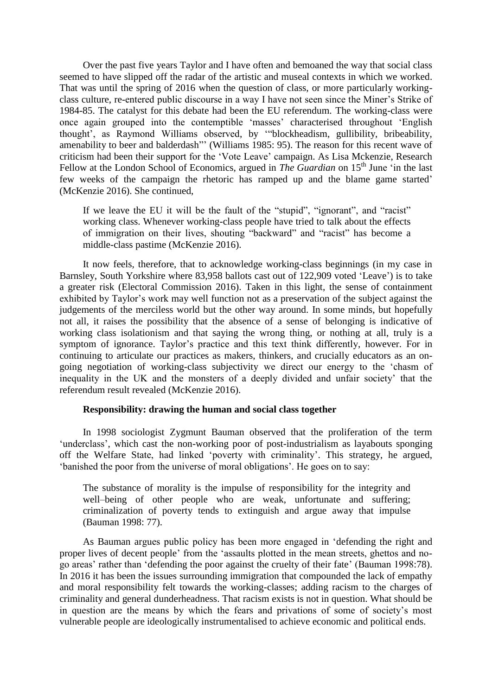Over the past five years Taylor and I have often and bemoaned the way that social class seemed to have slipped off the radar of the artistic and museal contexts in which we worked. That was until the spring of 2016 when the question of class, or more particularly workingclass culture, re-entered public discourse in a way I have not seen since the Miner's Strike of 1984-85. The catalyst for this debate had been the EU referendum. The working-class were once again grouped into the contemptible 'masses' characterised throughout 'English thought', as Raymond Williams observed, by "blockheadism, gullibility, bribeability, amenability to beer and balderdash"' (Williams 1985: 95). The reason for this recent wave of criticism had been their support for the ‗Vote Leave' campaign. As Lisa Mckenzie, Research Fellow at the London School of Economics, argued in *The Guardian* on 15<sup>th</sup> June 'in the last few weeks of the campaign the rhetoric has ramped up and the blame game started' (McKenzie 2016). She continued,

If we leave the EU it will be the fault of the "stupid", "ignorant", and "racist" working class. Whenever working-class people have tried to talk about the effects of immigration on their lives, shouting "backward" and "racist" has become a middle-class pastime (McKenzie 2016).

It now feels, therefore, that to acknowledge working-class beginnings (in my case in Barnsley, South Yorkshire where 83,958 ballots cast out of 122,909 voted 'Leave') is to take a greater risk (Electoral Commission 2016). Taken in this light, the sense of containment exhibited by Taylor's work may well function not as a preservation of the subject against the judgements of the merciless world but the other way around. In some minds, but hopefully not all, it raises the possibility that the absence of a sense of belonging is indicative of working class isolationism and that saying the wrong thing, or nothing at all, truly is a symptom of ignorance. Taylor's practice and this text think differently, however. For in continuing to articulate our practices as makers, thinkers, and crucially educators as an ongoing negotiation of working-class subjectivity we direct our energy to the 'chasm of inequality in the UK and the monsters of a deeply divided and unfair society' that the referendum result revealed (McKenzie 2016).

#### **Responsibility: drawing the human and social class together**

In 1998 sociologist Zygmunt Bauman observed that the proliferation of the term ‗underclass', which cast the non-working poor of post-industrialism as layabouts sponging off the Welfare State, had linked 'poverty with criminality'. This strategy, he argued, ‗banished the poor from the universe of moral obligations'. He goes on to say:

The substance of morality is the impulse of responsibility for the integrity and well–being of other people who are weak, unfortunate and suffering; criminalization of poverty tends to extinguish and argue away that impulse (Bauman 1998: 77).

As Bauman argues public policy has been more engaged in 'defending the right and proper lives of decent people' from the 'assaults plotted in the mean streets, ghettos and nogo areas' rather than 'defending the poor against the cruelty of their fate' (Bauman 1998:78). In 2016 it has been the issues surrounding immigration that compounded the lack of empathy and moral responsibility felt towards the working-classes; adding racism to the charges of criminality and general dunderheadness. That racism exists is not in question. What should be in question are the means by which the fears and privations of some of society's most vulnerable people are ideologically instrumentalised to achieve economic and political ends.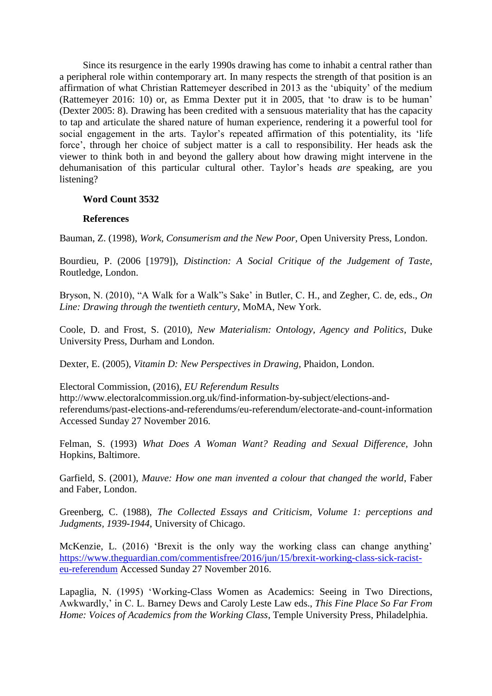Since its resurgence in the early 1990s drawing has come to inhabit a central rather than a peripheral role within contemporary art. In many respects the strength of that position is an affirmation of what Christian Rattemeyer described in 2013 as the 'ubiquity' of the medium (Rattemeyer 2016: 10) or, as Emma Dexter put it in 2005, that ‗to draw is to be human' (Dexter 2005: 8). Drawing has been credited with a sensuous materiality that has the capacity to tap and articulate the shared nature of human experience, rendering it a powerful tool for social engagement in the arts. Taylor's repeated affirmation of this potentiality, its 'life force', through her choice of subject matter is a call to responsibility. Her heads ask the viewer to think both in and beyond the gallery about how drawing might intervene in the dehumanisation of this particular cultural other. Taylor's heads *are* speaking, are you listening?

#### **Word Count 3532**

#### **References**

Bauman, Z. (1998), *Work, Consumerism and the New Poor,* Open University Press, London.

Bourdieu, P. (2006 [1979]), *Distinction: A Social Critique of the Judgement of Taste*, Routledge, London.

Bryson, N. (2010), "A Walk for a Walk"s Sake' in Butler, C. H., and Zegher, C. de, eds., *On Line: Drawing through the twentieth century*, MoMA, New York.

Coole, D. and Frost, S. (2010), *New Materialism: Ontology, Agency and Politics*, Duke University Press, Durham and London.

Dexter, E. (2005), *Vitamin D: New Perspectives in Drawing,* Phaidon, London.

Electoral Commission, (2016), *EU Referendum Results* 

http://www.electoralcommission.org.uk/find-information-by-subject/elections-andreferendums/past-elections-and-referendums/eu-referendum/electorate-and-count-information Accessed Sunday 27 November 2016.

Felman, S. (1993) *What Does A Woman Want? Reading and Sexual Difference,* John Hopkins, Baltimore.

Garfield, S. (2001), *Mauve: How one man invented a colour that changed the world*, Faber and Faber, London.

Greenberg, C. (1988), *The Collected Essays and Criticism, Volume 1: perceptions and Judgments, 1939-1944*, University of Chicago.

McKenzie, L. (2016) 'Brexit is the only way the working class can change anything' [https://www.theguardian.com/commentisfree/2016/jun/15/brexit-working-class-sick-racist](https://www.theguardian.com/commentisfree/2016/jun/15/brexit-working-class-sick-racist-eu-referendum)[eu-referendum](https://www.theguardian.com/commentisfree/2016/jun/15/brexit-working-class-sick-racist-eu-referendum) Accessed Sunday 27 November 2016.

Lapaglia, N. (1995) ‗Working-Class Women as Academics: Seeing in Two Directions, Awkwardly,' in C. L. Barney Dews and Caroly Leste Law eds., *This Fine Place So Far From Home: Voices of Academics from the Working Class*, Temple University Press, Philadelphia.